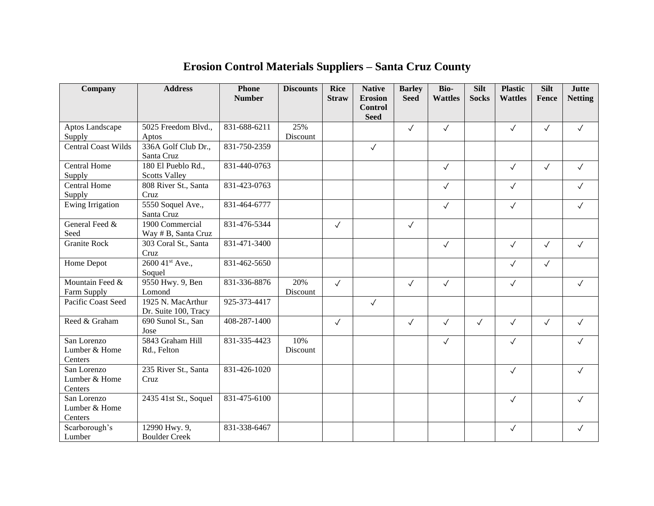| Company                                 | <b>Address</b>                             | <b>Phone</b><br><b>Number</b> | <b>Discounts</b> | <b>Rice</b><br><b>Straw</b> | <b>Native</b><br><b>Erosion</b><br><b>Control</b> | <b>Barley</b><br><b>Seed</b> | Bio-<br><b>Wattles</b> | <b>Silt</b><br><b>Socks</b> | <b>Plastic</b><br><b>Wattles</b> | <b>Silt</b><br>Fence | <b>Jutte</b><br><b>Netting</b> |
|-----------------------------------------|--------------------------------------------|-------------------------------|------------------|-----------------------------|---------------------------------------------------|------------------------------|------------------------|-----------------------------|----------------------------------|----------------------|--------------------------------|
|                                         |                                            |                               |                  |                             | <b>Seed</b>                                       |                              |                        |                             |                                  |                      |                                |
| Aptos Landscape                         | 5025 Freedom Blvd.,                        | 831-688-6211                  | 25%              |                             |                                                   | $\sqrt{ }$                   | $\checkmark$           |                             | $\checkmark$                     | $\checkmark$         | $\checkmark$                   |
| Supply                                  | Aptos                                      |                               | Discount         |                             |                                                   |                              |                        |                             |                                  |                      |                                |
| <b>Central Coast Wilds</b>              | 336A Golf Club Dr.,<br>Santa Cruz          | 831-750-2359                  |                  |                             | $\checkmark$                                      |                              |                        |                             |                                  |                      |                                |
| <b>Central Home</b><br>Supply           | 180 El Pueblo Rd.,<br><b>Scotts Valley</b> | 831-440-0763                  |                  |                             |                                                   |                              | $\checkmark$           |                             | $\checkmark$                     | $\checkmark$         | $\checkmark$                   |
| <b>Central Home</b><br>Supply           | 808 River St., Santa<br>Cruz               | 831-423-0763                  |                  |                             |                                                   |                              | $\checkmark$           |                             | $\checkmark$                     |                      | $\checkmark$                   |
| Ewing Irrigation                        | 5550 Soquel Ave.,<br>Santa Cruz            | 831-464-6777                  |                  |                             |                                                   |                              | $\checkmark$           |                             | $\checkmark$                     |                      | $\checkmark$                   |
| General Feed &<br>Seed                  | 1900 Commercial<br>Way # B, Santa Cruz     | 831-476-5344                  |                  | $\checkmark$                |                                                   | $\checkmark$                 |                        |                             |                                  |                      |                                |
| <b>Granite Rock</b>                     | 303 Coral St., Santa<br>Cruz               | 831-471-3400                  |                  |                             |                                                   |                              | $\checkmark$           |                             | $\checkmark$                     | $\checkmark$         | $\checkmark$                   |
| Home Depot                              | 2600 41st Ave.,<br>Soquel                  | 831-462-5650                  |                  |                             |                                                   |                              |                        |                             | $\checkmark$                     | $\checkmark$         |                                |
| Mountain Feed &<br>Farm Supply          | 9550 Hwy. 9, Ben<br>Lomond                 | 831-336-8876                  | 20%<br>Discount  | $\checkmark$                |                                                   | $\checkmark$                 | $\checkmark$           |                             | $\checkmark$                     |                      | $\checkmark$                   |
| Pacific Coast Seed                      | 1925 N. MacArthur<br>Dr. Suite 100, Tracy  | 925-373-4417                  |                  |                             | $\checkmark$                                      |                              |                        |                             |                                  |                      |                                |
| Reed & Graham                           | 690 Sunol St., San<br>Jose                 | 408-287-1400                  |                  | $\checkmark$                |                                                   | $\checkmark$                 | $\checkmark$           | $\checkmark$                | $\checkmark$                     | $\checkmark$         | $\checkmark$                   |
| San Lorenzo<br>Lumber & Home<br>Centers | 5843 Graham Hill<br>Rd., Felton            | 831-335-4423                  | 10%<br>Discount  |                             |                                                   |                              | $\checkmark$           |                             | $\checkmark$                     |                      | $\checkmark$                   |
| San Lorenzo<br>Lumber & Home<br>Centers | 235 River St., Santa<br>Cruz               | 831-426-1020                  |                  |                             |                                                   |                              |                        |                             | $\checkmark$                     |                      | $\checkmark$                   |
| San Lorenzo<br>Lumber & Home<br>Centers | 2435 41st St., Soquel                      | 831-475-6100                  |                  |                             |                                                   |                              |                        |                             | $\checkmark$                     |                      | $\checkmark$                   |
| Scarborough's<br>Lumber                 | 12990 Hwy. 9,<br><b>Boulder Creek</b>      | 831-338-6467                  |                  |                             |                                                   |                              |                        |                             | $\checkmark$                     |                      | $\checkmark$                   |

## **Erosion Control Materials Suppliers – Santa Cruz County**